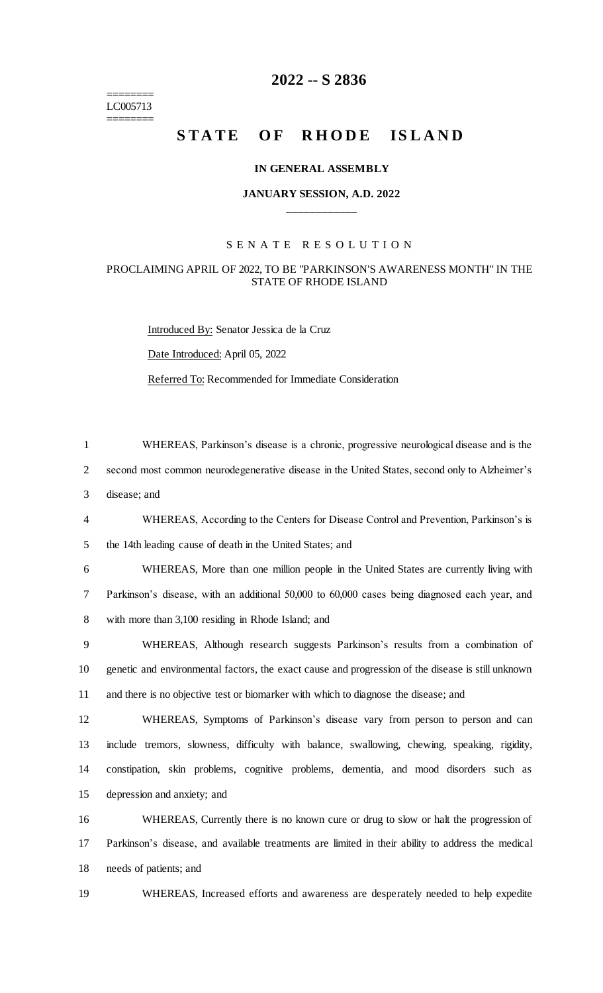======== LC005713 ========

# **-- S 2836**

# **STATE OF RHODE ISLAND**

### **IN GENERAL ASSEMBLY**

## **JANUARY SESSION, A.D. 2022 \_\_\_\_\_\_\_\_\_\_\_\_**

### S E N A T E R E S O L U T I O N

## PROCLAIMING APRIL OF 2022, TO BE "PARKINSON'S AWARENESS MONTH" IN THE STATE OF RHODE ISLAND

Introduced By: Senator Jessica de la Cruz

Date Introduced: April 05, 2022

Referred To: Recommended for Immediate Consideration

 WHEREAS, Parkinson's disease is a chronic, progressive neurological disease and is the second most common neurodegenerative disease in the United States, second only to Alzheimer's disease; and

 WHEREAS, According to the Centers for Disease Control and Prevention, Parkinson's is the 14th leading cause of death in the United States; and

 WHEREAS, More than one million people in the United States are currently living with Parkinson's disease, with an additional 50,000 to 60,000 cases being diagnosed each year, and with more than 3,100 residing in Rhode Island; and

 WHEREAS, Although research suggests Parkinson's results from a combination of genetic and environmental factors, the exact cause and progression of the disease is still unknown and there is no objective test or biomarker with which to diagnose the disease; and

 WHEREAS, Symptoms of Parkinson's disease vary from person to person and can include tremors, slowness, difficulty with balance, swallowing, chewing, speaking, rigidity, constipation, skin problems, cognitive problems, dementia, and mood disorders such as depression and anxiety; and

 WHEREAS, Currently there is no known cure or drug to slow or halt the progression of Parkinson's disease, and available treatments are limited in their ability to address the medical needs of patients; and

WHEREAS, Increased efforts and awareness are desperately needed to help expedite